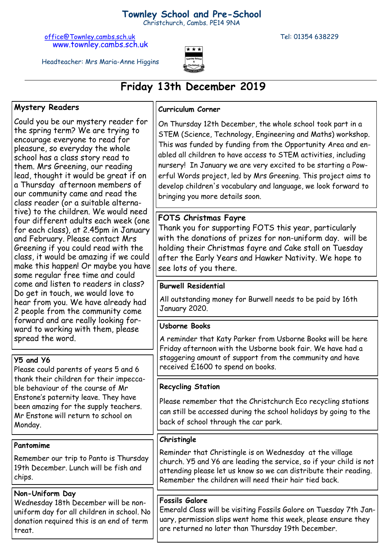## **Townley School and Pre-School**

Christchurch, Cambs. PE14 9NA

[office@Townley.cambs.sch.uk](mailto:office@Townley.cambs.sch.uk) Tel: 01354 638229 www.townley.cambs.sch.uk



Headteacher: Mrs Maria-Anne Higgins

# **Friday 13th December 2019**

#### **Mystery Readers**

Could you be our mystery reader for the spring term? We are trying to encourage everyone to read for pleasure, so everyday the whole school has a class story read to them. Mrs Greening, our reading lead, thought it would be great if on a Thursday afternoon members of our community came and read the class reader (or a suitable alternative) to the children. We would need four different adults each week (one for each class), at 2.45pm in January and February. Please contact Mrs Greening if you could read with the class, it would be amazing if we could make this happen! Or maybe you have some regular free time and could come and listen to readers in class? Do get in touch, we would love to hear from you. We have already had 2 people from the community come forward and are really looking forward to working with them, please spread the word.

#### **Y5 and Y6**

Please could parents of years 5 and 6 thank their children for their impeccable behaviour of the course of Mr Enstone's paternity leave. They have been amazing for the supply teachers. Mr Enstone will return to school on Monday.

**Pantomime**

Remember our trip to Panto is Thursday 19th December. Lunch will be fish and chips.

#### **Non-Uniform Day**

Wednesday 18th December will be nonuniform day for all children in school. No donation required this is an end of term treat.

#### **Curriculum Corner**

On Thursday 12th December, the whole school took part in a STEM (Science, Technology, Engineering and Maths) workshop. This was funded by funding from the Opportunity Area and enabled all children to have access to STEM activities, including nursery! In January we are very excited to be starting a Powerful Words project, led by Mrs Greening. This project aims to develop children's vocabulary and language, we look forward to bringing you more details soon.

### **FOTS Christmas Fayre**

Thank you for supporting FOTS this year, particularly with the donations of prizes for non-uniform day. will be holding their Christmas fayre and Cake stall on Tuesday after the Early Years and Hawker Nativity. We hope to see lots of you there.

#### **Burwell Residential**

All outstanding money for Burwell needs to be paid by 16th January 2020.

#### **Usborne Books**

A reminder that Katy Parker from Usborne Books will be here Friday afternoon with the Usborne book fair. We have had a staggering amount of support from the community and have received £1600 to spend on books.

#### **Recycling Station**

Please remember that the Christchurch Eco recycling stations can still be accessed during the school holidays by going to the back of school through the car park.

#### **Christingle**

Reminder that Christingle is on Wednesday at the village church. Y5 and Y6 are leading the service, so if your child is not attending please let us know so we can distribute their reading. Remember the children will need their hair tied back.

#### **Fossils Galore**

Emerald Class will be visiting Fossils Galore on Tuesday 7th January, permission slips went home this week, please ensure they are returned no later than Thursday 19th December.